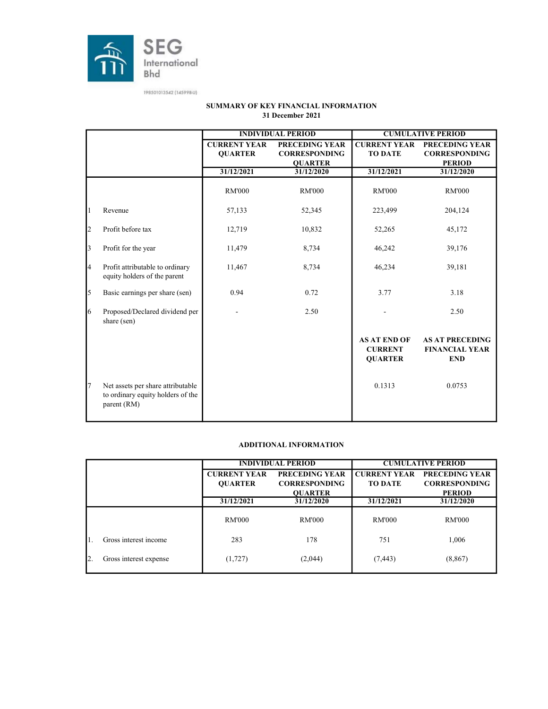

|                         |                                                                                       |                     | <b>INDIVIDUAL PERIOD</b> |                                                         | <b>CUMULATIVE PERIOD</b>                                      |
|-------------------------|---------------------------------------------------------------------------------------|---------------------|--------------------------|---------------------------------------------------------|---------------------------------------------------------------|
|                         |                                                                                       | <b>CURRENT YEAR</b> | <b>PRECEDING YEAR</b>    | <b>CURRENT YEAR</b>                                     | <b>PRECEDING YEAR</b>                                         |
|                         |                                                                                       | <b>QUARTER</b>      | <b>CORRESPONDING</b>     | <b>TO DATE</b>                                          | <b>CORRESPONDING</b>                                          |
|                         |                                                                                       |                     | <b>QUARTER</b>           |                                                         | <b>PERIOD</b>                                                 |
|                         |                                                                                       | 31/12/2021          | 31/12/2020               | 31/12/2021                                              | 31/12/2020                                                    |
|                         |                                                                                       | <b>RM'000</b>       | <b>RM'000</b>            | <b>RM'000</b>                                           | <b>RM'000</b>                                                 |
| 1                       | Revenue                                                                               | 57,133              | 52,345                   | 223,499                                                 | 204,124                                                       |
| $\overline{c}$          | Profit before tax                                                                     | 12,719              | 10,832                   | 52,265                                                  | 45,172                                                        |
| $\overline{\mathbf{3}}$ | Profit for the year                                                                   | 11,479              | 8,734                    | 46,242                                                  | 39,176                                                        |
| $\overline{4}$          | Profit attributable to ordinary<br>equity holders of the parent                       | 11,467              | 8,734                    | 46,234                                                  | 39,181                                                        |
| 5                       | Basic earnings per share (sen)                                                        | 0.94                | 0.72                     | 3.77                                                    | 3.18                                                          |
| 6                       | Proposed/Declared dividend per<br>share (sen)                                         |                     | 2.50                     |                                                         | 2.50                                                          |
|                         |                                                                                       |                     |                          | <b>AS AT END OF</b><br><b>CURRENT</b><br><b>OUARTER</b> | <b>AS AT PRECEDING</b><br><b>FINANCIAL YEAR</b><br><b>END</b> |
| $\overline{7}$          | Net assets per share attributable<br>to ordinary equity holders of the<br>parent (RM) |                     |                          | 0.1313                                                  | 0.0753                                                        |

#### SUMMARY OF KEY FINANCIAL INFORMATION 31 December 2021

#### ADDITIONAL INFORMATION

|                        |                     | <b>INDIVIDUAL PERIOD</b> | <b>CUMULATIVE PERIOD</b> |                       |  |  |
|------------------------|---------------------|--------------------------|--------------------------|-----------------------|--|--|
|                        | <b>CURRENT YEAR</b> | <b>PRECEDING YEAR</b>    | <b>CURRENT YEAR</b>      | <b>PRECEDING YEAR</b> |  |  |
|                        | <b>OUARTER</b>      | <b>CORRESPONDING</b>     | <b>TO DATE</b>           | <b>CORRESPONDING</b>  |  |  |
|                        |                     | <b>OUARTER</b>           |                          | <b>PERIOD</b>         |  |  |
|                        | 31/12/2021          | 31/12/2020               | 31/12/2021               | 31/12/2020            |  |  |
|                        | RM'000              | RM'000                   | <b>RM'000</b>            | RM'000                |  |  |
| Gross interest income  | 283                 | 178                      | 751                      | 1,006                 |  |  |
| Gross interest expense | (1,727)             | (2,044)                  | (7, 443)                 | (8, 867)              |  |  |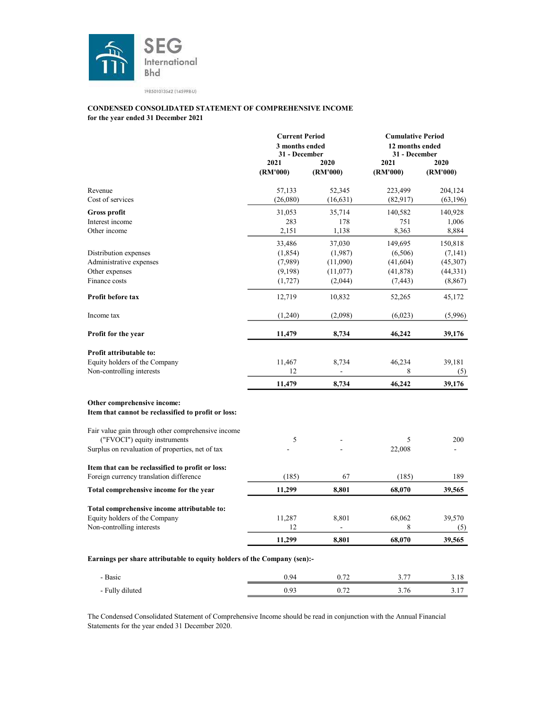

#### for the year ended 31 December 2021 CONDENSED CONSOLIDATED STATEMENT OF COMPREHENSIVE INCOME

|                                                                                    | <b>Current Period</b><br>3 months ended<br>31 - December<br>2021<br>2020 |                | <b>Cumulative Period</b><br>12 months ended<br>31 - December<br>2021 | 2020      |
|------------------------------------------------------------------------------------|--------------------------------------------------------------------------|----------------|----------------------------------------------------------------------|-----------|
|                                                                                    | (RM'000)                                                                 | (RM'000)       | (RM'000)                                                             | (RM'000)  |
| Revenue                                                                            | 57,133                                                                   | 52,345         | 223,499                                                              | 204,124   |
| Cost of services                                                                   | (26,080)                                                                 | (16, 631)      | (82, 917)                                                            | (63, 196) |
| <b>Gross profit</b>                                                                | 31,053                                                                   | 35,714         | 140,582                                                              | 140,928   |
| Interest income                                                                    | 283                                                                      | 178            | 751                                                                  | 1,006     |
| Other income                                                                       | 2,151                                                                    | 1,138          | 8,363                                                                | 8,884     |
|                                                                                    | 33,486                                                                   | 37,030         | 149,695                                                              | 150,818   |
| Distribution expenses                                                              | (1,854)                                                                  | (1,987)        | (6, 506)                                                             | (7,141)   |
| Administrative expenses                                                            | (7,989)                                                                  | (11,090)       | (41, 604)                                                            | (45,307)  |
| Other expenses                                                                     | (9,198)                                                                  | (11,077)       | (41,878)                                                             | (44, 331) |
| Finance costs                                                                      | (1,727)                                                                  | (2,044)        | (7, 443)                                                             | (8, 867)  |
| <b>Profit before tax</b>                                                           | 12,719                                                                   | 10,832         | 52,265                                                               | 45,172    |
| Income tax                                                                         | (1,240)                                                                  | (2,098)        | (6,023)                                                              | (5,996)   |
| Profit for the year                                                                | 11,479                                                                   | 8,734          | 46,242                                                               | 39,176    |
| <b>Profit attributable to:</b>                                                     |                                                                          |                |                                                                      |           |
| Equity holders of the Company                                                      | 11,467                                                                   | 8,734          | 46,234                                                               | 39,181    |
| Non-controlling interests                                                          | 12                                                                       | $\overline{a}$ | 8                                                                    | (5)       |
|                                                                                    | 11,479                                                                   | 8,734          | 46,242                                                               | 39,176    |
|                                                                                    |                                                                          |                |                                                                      |           |
| Other comprehensive income:<br>Item that cannot be reclassified to profit or loss: |                                                                          |                |                                                                      |           |
| Fair value gain through other comprehensive income                                 |                                                                          |                |                                                                      |           |
| ("FVOCI") equity instruments                                                       | 5                                                                        |                | 5                                                                    | 200       |
| Surplus on revaluation of properties, net of tax                                   |                                                                          |                | 22,008                                                               |           |
| Item that can be reclassified to profit or loss:                                   |                                                                          |                |                                                                      |           |
| Foreign currency translation difference                                            | (185)                                                                    | 67             | (185)                                                                | 189       |
| Total comprehensive income for the year                                            | 11,299                                                                   | 8,801          | 68,070                                                               | 39,565    |
| Total comprehensive income attributable to:                                        |                                                                          |                |                                                                      |           |
| Equity holders of the Company                                                      | 11,287                                                                   | 8,801          | 68,062                                                               | 39,570    |
| Non-controlling interests                                                          | 12                                                                       |                | 8                                                                    | (5)       |
|                                                                                    | 11,299                                                                   | 8,801          | 68,070                                                               | 39,565    |
| Earnings per share attributable to equity holders of the Company (sen):-           |                                                                          |                |                                                                      |           |
| - Basic                                                                            | 0.94                                                                     | 0.72           | 3.77                                                                 | 3.18      |
| - Fully diluted                                                                    | 0.93                                                                     | 0.72           | 3.76                                                                 | 3.17      |

The Condensed Consolidated Statement of Comprehensive Income should be read in conjunction with the Annual Financial Statements for the year ended 31 December 2020.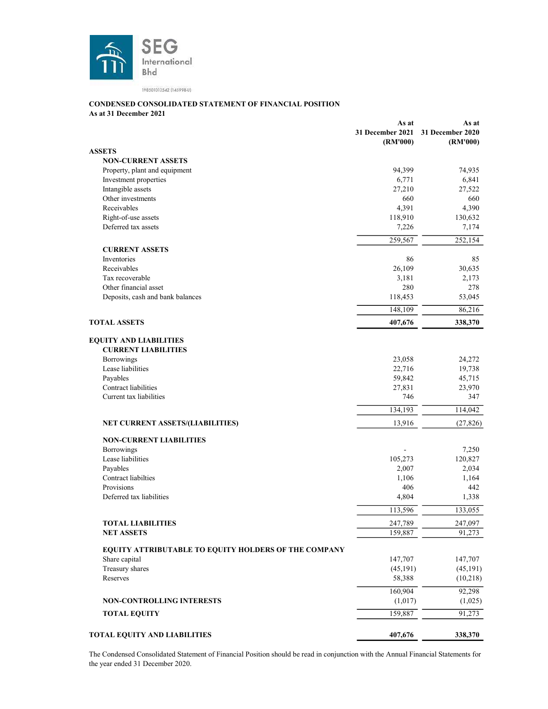

#### CONDENSED CONSOLIDATED STATEMENT OF FINANCIAL POSITION

As at 31 December 2021

|                                                                       | As at<br>31 December 2021<br>(RM'000) | As at<br>31 December 2020<br>(RM'000) |
|-----------------------------------------------------------------------|---------------------------------------|---------------------------------------|
| <b>ASSETS</b>                                                         |                                       |                                       |
| <b>NON-CURRENT ASSETS</b>                                             |                                       |                                       |
| Property, plant and equipment                                         | 94,399                                | 74,935                                |
| Investment properties                                                 | 6,771                                 | 6,841                                 |
| Intangible assets                                                     | 27,210                                | 27,522                                |
| Other investments                                                     | 660                                   | 660                                   |
| Receivables                                                           | 4,391                                 | 4,390                                 |
| Right-of-use assets                                                   | 118,910                               | 130,632                               |
| Deferred tax assets                                                   | 7,226                                 | 7,174                                 |
|                                                                       | 259,567                               | 252,154                               |
| <b>CURRENT ASSETS</b>                                                 |                                       |                                       |
| Inventories                                                           | 86                                    | 85                                    |
| Receivables                                                           | 26,109                                | 30,635                                |
| Tax recoverable                                                       | 3,181                                 | 2,173                                 |
| Other financial asset                                                 | 280                                   | 278                                   |
| Deposits, cash and bank balances                                      | 118,453                               | 53,045                                |
|                                                                       | 148,109                               | 86,216                                |
| <b>TOTAL ASSETS</b>                                                   | 407,676                               | 338,370                               |
| <b>EQUITY AND LIABILITIES</b><br><b>CURRENT LIABILITIES</b>           |                                       |                                       |
| Borrowings                                                            | 23,058                                | 24,272                                |
| Lease liabilities                                                     | 22,716                                | 19,738                                |
| Payables                                                              | 59,842                                | 45,715                                |
| Contract liabilities                                                  | 27,831                                | 23,970                                |
| Current tax liabilities                                               | 746                                   | 347                                   |
|                                                                       | 134,193                               | 114,042                               |
| NET CURRENT ASSETS/(LIABILITIES)                                      | 13,916                                | (27, 826)                             |
|                                                                       |                                       |                                       |
| <b>NON-CURRENT LIABILITIES</b>                                        |                                       |                                       |
| Borrowings                                                            |                                       | 7,250                                 |
| Lease liabilities                                                     | 105,273                               | 120,827                               |
| Payables                                                              | 2,007                                 | 2,034                                 |
| Contract liabilties                                                   | 1,106                                 | 1,164                                 |
| Provisions<br>Deferred tax liabilities                                | 406<br>4,804                          | 442<br>1,338                          |
|                                                                       | 113,596                               | 133,055                               |
| <b>TOTAL LIABILITIES</b>                                              | 247,789                               | 247,097                               |
| <b>NET ASSETS</b>                                                     | 159,887                               | 91,273                                |
|                                                                       |                                       |                                       |
| EQUITY ATTRIBUTABLE TO EQUITY HOLDERS OF THE COMPANY<br>Share capital | 147,707                               | 147,707                               |
|                                                                       |                                       |                                       |
| Treasury shares                                                       | (45, 191)                             | (45, 191)                             |
| Reserves                                                              | 58,388                                | (10,218)                              |
|                                                                       | 160,904                               | 92,298                                |
| <b>NON-CONTROLLING INTERESTS</b>                                      | (1,017)                               | (1,025)                               |
| <b>TOTAL EQUITY</b>                                                   | 159,887                               | 91,273                                |
| TOTAL EQUITY AND LIABILITIES                                          | 407,676                               | 338,370                               |

The Condensed Consolidated Statement of Financial Position should be read in conjunction with the Annual Financial Statements for the year ended 31 December 2020.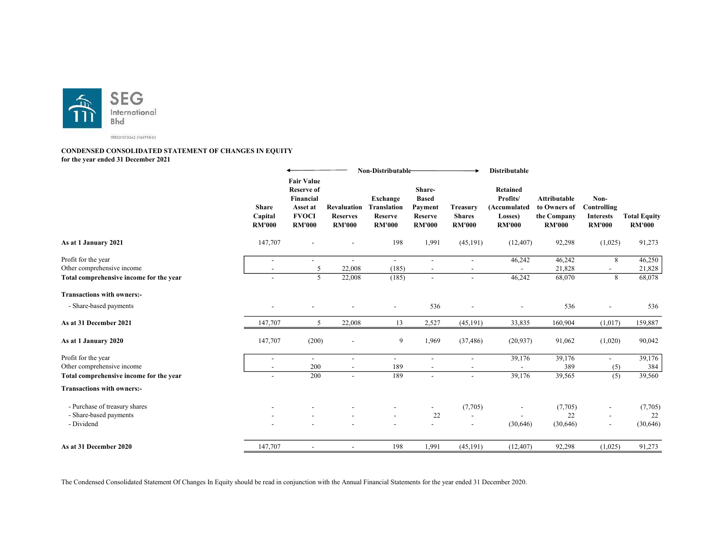

#### CONDENSED CONSOLIDATED STATEMENT OF CHANGES IN EQUITY for the year ended 31 December 2021

|                                                                                              |                                                                | Non-Distributable-                                                                               |                                                        | <b>Distributable</b>                                       |                                                                        |                                                       |                                                                  |                                                              |                                                          |                                      |
|----------------------------------------------------------------------------------------------|----------------------------------------------------------------|--------------------------------------------------------------------------------------------------|--------------------------------------------------------|------------------------------------------------------------|------------------------------------------------------------------------|-------------------------------------------------------|------------------------------------------------------------------|--------------------------------------------------------------|----------------------------------------------------------|--------------------------------------|
|                                                                                              | <b>Share</b><br>Capital<br><b>RM'000</b>                       | <b>Fair Value</b><br><b>Reserve of</b><br>Financial<br>Asset at<br><b>FVOCI</b><br><b>RM'000</b> | <b>Revaluation</b><br><b>Reserves</b><br><b>RM'000</b> | Exchange<br><b>Translation</b><br>Reserve<br><b>RM'000</b> | Share-<br><b>Based</b><br>Payment<br>Reserve<br><b>RM'000</b>          | <b>Treasury</b><br><b>Shares</b><br><b>RM'000</b>     | Retained<br>Profits/<br>(Accumulated<br>Losses)<br><b>RM'000</b> | Attributable<br>to Owners of<br>the Company<br><b>RM'000</b> | Non-<br>Controlling<br><b>Interests</b><br><b>RM'000</b> | <b>Total Equity</b><br><b>RM'000</b> |
| As at 1 January 2021                                                                         | 147,707                                                        |                                                                                                  |                                                        | 198                                                        | 1,991                                                                  | (45, 191)                                             | (12, 407)                                                        | 92,298                                                       | (1,025)                                                  | 91,273                               |
| Profit for the year<br>Other comprehensive income<br>Total comprehensive income for the year | $\overline{\phantom{a}}$<br>$\sim$<br>$\overline{\phantom{a}}$ | 5<br>$\overline{5}$                                                                              | 22,008<br>22,008                                       | (185)<br>(185)                                             | $\overline{\phantom{a}}$<br>$\overline{\phantom{a}}$<br>$\blacksquare$ | $\overline{\phantom{a}}$<br>$\overline{a}$            | 46,242<br>46,242                                                 | 46,242<br>21,828<br>68,070                                   | 8<br>$\sim$<br>8                                         | 46,250<br>21,828<br>68,078           |
| <b>Transactions with owners:-</b>                                                            |                                                                |                                                                                                  |                                                        |                                                            |                                                                        |                                                       |                                                                  |                                                              |                                                          |                                      |
| - Share-based payments                                                                       |                                                                |                                                                                                  |                                                        |                                                            | 536                                                                    |                                                       |                                                                  | 536                                                          |                                                          | 536                                  |
| As at 31 December 2021                                                                       | 147,707                                                        | 5                                                                                                | 22,008                                                 | 13                                                         | 2,527                                                                  | (45, 191)                                             | 33,835                                                           | 160,904                                                      | (1,017)                                                  | 159,887                              |
| As at 1 January 2020                                                                         | 147,707                                                        | (200)                                                                                            | $\overline{\phantom{a}}$                               | 9                                                          | 1,969                                                                  | (37, 486)                                             | (20, 937)                                                        | 91,062                                                       | (1,020)                                                  | 90,042                               |
| Profit for the year<br>Other comprehensive income                                            | $\overline{\phantom{a}}$<br>$\sim$                             | $\overline{\phantom{a}}$<br>200<br>200                                                           | $\sim$<br>$\sim$                                       | $\overline{\phantom{a}}$<br>189<br>189                     | $\blacksquare$<br>$\sim$                                               | $\overline{\phantom{a}}$                              | 39,176                                                           | 39,176<br>389                                                | $\blacksquare$<br>(5)                                    | 39,176<br>384                        |
| Total comprehensive income for the year<br><b>Transactions with owners:-</b>                 | $\overline{a}$                                                 |                                                                                                  | $\overline{\phantom{a}}$                               |                                                            | $\overline{a}$                                                         | L,                                                    | 39,176                                                           | 39,565                                                       | (5)                                                      | 39,560                               |
| - Purchase of treasury shares<br>- Share-based payments<br>- Dividend                        |                                                                |                                                                                                  |                                                        |                                                            | 22                                                                     | (7,705)<br>$\overline{\phantom{a}}$<br>$\blacksquare$ | (30,646)                                                         | (7,705)<br>22<br>(30,646)                                    | $\overline{\phantom{a}}$<br>$\overline{\phantom{a}}$     | (7,705)<br>22<br>(30,646)            |
| As at 31 December 2020                                                                       | 147,707                                                        | $\overline{\phantom{a}}$                                                                         | $\overline{\phantom{a}}$                               | 198                                                        | 1,991                                                                  | (45, 191)                                             | (12, 407)                                                        | 92,298                                                       | (1,025)                                                  | 91,273                               |

The Condensed Consolidated Statement Of Changes In Equity should be read in conjunction with the Annual Financial Statements for the year ended 31 December 2020.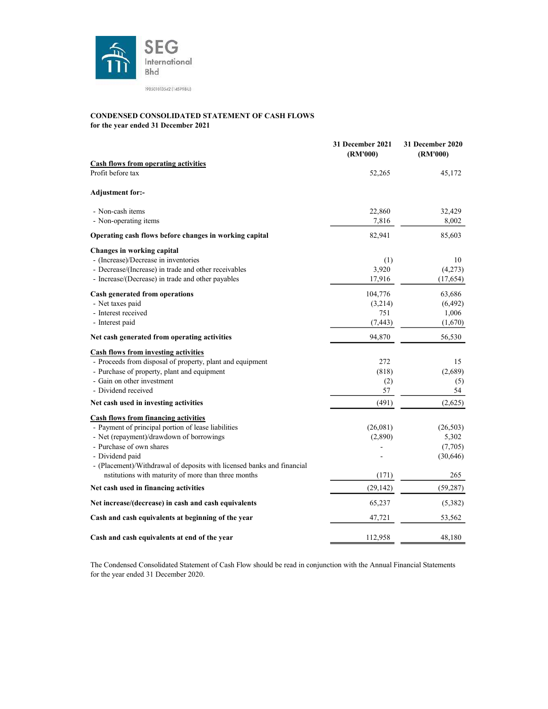

#### CONDENSED CONSOLIDATED STATEMENT OF CASH FLOWS for the year ended 31 December 2021

|                                                                        | 31 December 2021<br>(RM'000) | <b>31 December 2020</b><br>(RM'000) |
|------------------------------------------------------------------------|------------------------------|-------------------------------------|
| <b>Cash flows from operating activities</b>                            |                              |                                     |
| Profit before tax                                                      | 52,265                       | 45,172                              |
| <b>Adjustment for:-</b>                                                |                              |                                     |
| - Non-cash items                                                       | 22,860                       | 32,429                              |
| - Non-operating items                                                  | 7,816                        | 8,002                               |
| Operating cash flows before changes in working capital                 | 82,941                       | 85,603                              |
| Changes in working capital                                             |                              |                                     |
| - (Increase)/Decrease in inventories                                   | (1)                          | 10                                  |
| - Decrease/(Increase) in trade and other receivables                   | 3,920                        | (4,273)                             |
| - Increase/(Decrease) in trade and other payables                      | 17,916                       | (17,654)                            |
| Cash generated from operations                                         | 104,776                      | 63,686                              |
| - Net taxes paid                                                       | (3,214)                      | (6, 492)                            |
| - Interest received                                                    | 751                          | 1,006                               |
| - Interest paid                                                        | (7, 443)                     | (1,670)                             |
| Net cash generated from operating activities                           | 94,870                       | 56,530                              |
| <b>Cash flows from investing activities</b>                            |                              |                                     |
| - Proceeds from disposal of property, plant and equipment              | 272                          | 15                                  |
| - Purchase of property, plant and equipment                            | (818)                        | (2,689)                             |
| - Gain on other investment                                             | (2)                          | (5)                                 |
| - Dividend received                                                    | 57                           | 54                                  |
| Net cash used in investing activities                                  | (491)                        | (2,625)                             |
| <b>Cash flows from financing activities</b>                            |                              |                                     |
| - Payment of principal portion of lease liabilities                    | (26,081)                     | (26,503)                            |
| - Net (repayment)/drawdown of borrowings                               | (2,890)                      | 5,302                               |
| - Purchase of own shares                                               |                              | (7,705)                             |
| - Dividend paid                                                        |                              | (30,646)                            |
| - (Placement)/Withdrawal of deposits with licensed banks and financial |                              |                                     |
| nstitutions with maturity of more than three months                    | (171)                        | 265                                 |
| Net cash used in financing activities                                  | (29, 142)                    | (59, 287)                           |
| Net increase/(decrease) in cash and cash equivalents                   | 65,237                       | (5,382)                             |
| Cash and cash equivalents at beginning of the year                     | 47,721                       | 53,562                              |
| Cash and cash equivalents at end of the year                           | 112,958                      | 48,180                              |

The Condensed Consolidated Statement of Cash Flow should be read in conjunction with the Annual Financial Statements for the year ended 31 December 2020.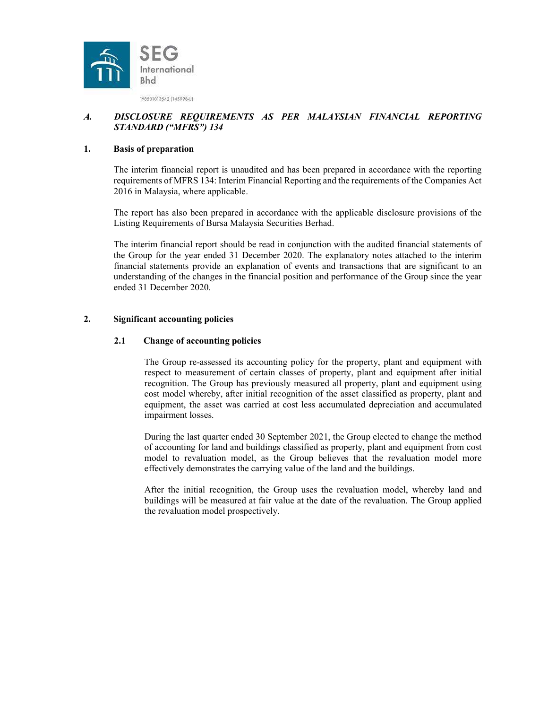

## A. DISCLOSURE REQUIREMENTS AS PER MALAYSIAN FINANCIAL REPORTING STANDARD ("MFRS") 134

#### 1. Basis of preparation

The interim financial report is unaudited and has been prepared in accordance with the reporting requirements of MFRS 134: Interim Financial Reporting and the requirements of the Companies Act 2016 in Malaysia, where applicable.

The report has also been prepared in accordance with the applicable disclosure provisions of the Listing Requirements of Bursa Malaysia Securities Berhad.

The interim financial report should be read in conjunction with the audited financial statements of the Group for the year ended 31 December 2020. The explanatory notes attached to the interim financial statements provide an explanation of events and transactions that are significant to an understanding of the changes in the financial position and performance of the Group since the year ended 31 December 2020.

### 2. Significant accounting policies

#### 2.1 Change of accounting policies

The Group re-assessed its accounting policy for the property, plant and equipment with respect to measurement of certain classes of property, plant and equipment after initial recognition. The Group has previously measured all property, plant and equipment using cost model whereby, after initial recognition of the asset classified as property, plant and equipment, the asset was carried at cost less accumulated depreciation and accumulated impairment losses.

During the last quarter ended 30 September 2021, the Group elected to change the method of accounting for land and buildings classified as property, plant and equipment from cost model to revaluation model, as the Group believes that the revaluation model more effectively demonstrates the carrying value of the land and the buildings.

After the initial recognition, the Group uses the revaluation model, whereby land and buildings will be measured at fair value at the date of the revaluation. The Group applied the revaluation model prospectively.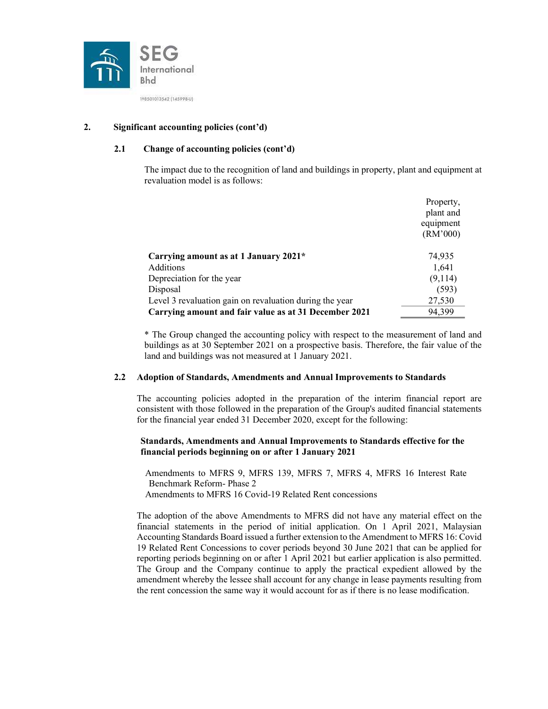

## 2. Significant accounting policies (cont'd)

## 2.1 Change of accounting policies (cont'd)

The impact due to the recognition of land and buildings in property, plant and equipment at revaluation model is as follows:

|                                                         | Property, |
|---------------------------------------------------------|-----------|
|                                                         | plant and |
|                                                         | equipment |
|                                                         | (RM'000)  |
| Carrying amount as at 1 January 2021*                   | 74,935    |
| Additions                                               | 1,641     |
| Depreciation for the year                               | (9,114)   |
| Disposal                                                | (593)     |
| Level 3 revaluation gain on revaluation during the year | 27,530    |
| Carrying amount and fair value as at 31 December 2021   | 94.399    |

\* The Group changed the accounting policy with respect to the measurement of land and buildings as at 30 September 2021 on a prospective basis. Therefore, the fair value of the land and buildings was not measured at 1 January 2021.

## 2.2 Adoption of Standards, Amendments and Annual Improvements to Standards

 The accounting policies adopted in the preparation of the interim financial report are consistent with those followed in the preparation of the Group's audited financial statements for the financial year ended 31 December 2020, except for the following:

#### Standards, Amendments and Annual Improvements to Standards effective for the financial periods beginning on or after 1 January 2021

Amendments to MFRS 9, MFRS 139, MFRS 7, MFRS 4, MFRS 16 Interest Rate Benchmark Reform- Phase 2 Amendments to MFRS 16 Covid-19 Related Rent concessions

The adoption of the above Amendments to MFRS did not have any material effect on the financial statements in the period of initial application. On 1 April 2021, Malaysian Accounting Standards Board issued a further extension to the Amendment to MFRS 16: Covid 19 Related Rent Concessions to cover periods beyond 30 June 2021 that can be applied for reporting periods beginning on or after 1 April 2021 but earlier application is also permitted. The Group and the Company continue to apply the practical expedient allowed by the amendment whereby the lessee shall account for any change in lease payments resulting from the rent concession the same way it would account for as if there is no lease modification.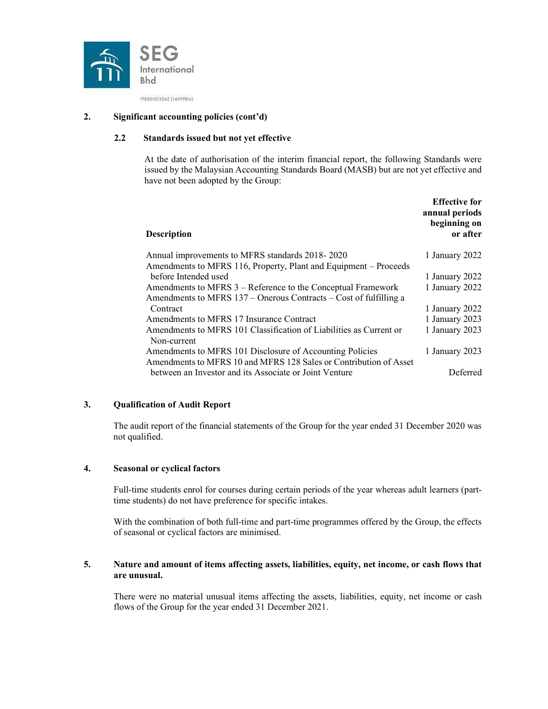

### 2. Significant accounting policies (cont'd)

## 2.2 Standards issued but not yet effective

At the date of authorisation of the interim financial report, the following Standards were issued by the Malaysian Accounting Standards Board (MASB) but are not yet effective and have not been adopted by the Group:

| <b>Description</b>                                                 | <b>Effective for</b><br>annual periods<br>beginning on<br>or after |
|--------------------------------------------------------------------|--------------------------------------------------------------------|
| Annual improvements to MFRS standards 2018-2020                    | 1 January 2022                                                     |
| Amendments to MFRS 116, Property, Plant and Equipment – Proceeds   |                                                                    |
| before Intended used                                               | 1 January 2022                                                     |
| Amendments to MFRS 3 – Reference to the Conceptual Framework       | 1 January 2022                                                     |
| Amendments to MFRS 137 – Onerous Contracts – Cost of fulfilling a  |                                                                    |
| Contract                                                           | 1 January 2022                                                     |
| Amendments to MFRS 17 Insurance Contract                           | 1 January 2023                                                     |
| Amendments to MFRS 101 Classification of Liabilities as Current or | 1 January 2023                                                     |
| Non-current                                                        |                                                                    |
| Amendments to MFRS 101 Disclosure of Accounting Policies           | 1 January 2023                                                     |
| Amendments to MFRS 10 and MFRS 128 Sales or Contribution of Asset  |                                                                    |
| between an Investor and its Associate or Joint Venture             | Deferred                                                           |

## 3. Qualification of Audit Report

The audit report of the financial statements of the Group for the year ended 31 December 2020 was not qualified.

### 4. Seasonal or cyclical factors

Full-time students enrol for courses during certain periods of the year whereas adult learners (parttime students) do not have preference for specific intakes.

With the combination of both full-time and part-time programmes offered by the Group, the effects of seasonal or cyclical factors are minimised.

#### 5. Nature and amount of items affecting assets, liabilities, equity, net income, or cash flows that are unusual.

There were no material unusual items affecting the assets, liabilities, equity, net income or cash flows of the Group for the year ended 31 December 2021.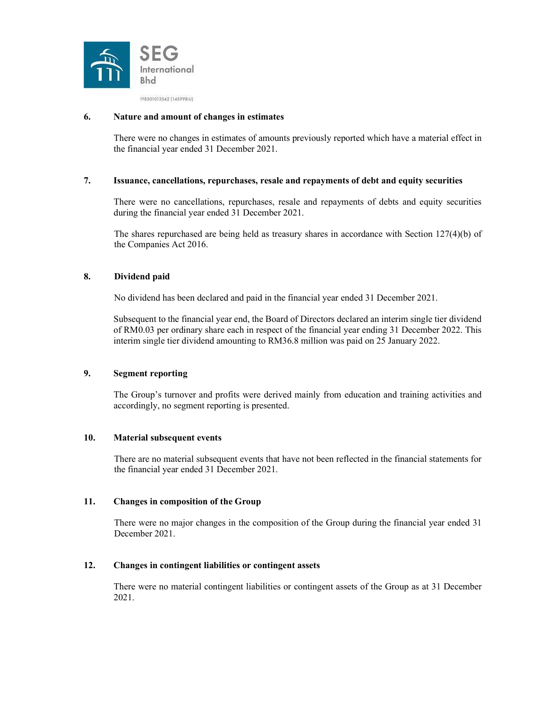

#### 6. Nature and amount of changes in estimates

There were no changes in estimates of amounts previously reported which have a material effect in the financial year ended 31 December 2021.

#### 7. Issuance, cancellations, repurchases, resale and repayments of debt and equity securities

There were no cancellations, repurchases, resale and repayments of debts and equity securities during the financial year ended 31 December 2021.

The shares repurchased are being held as treasury shares in accordance with Section 127(4)(b) of the Companies Act 2016.

## 8. Dividend paid

No dividend has been declared and paid in the financial year ended 31 December 2021.

Subsequent to the financial year end, the Board of Directors declared an interim single tier dividend of RM0.03 per ordinary share each in respect of the financial year ending 31 December 2022. This interim single tier dividend amounting to RM36.8 million was paid on 25 January 2022.

#### 9. Segment reporting

The Group's turnover and profits were derived mainly from education and training activities and accordingly, no segment reporting is presented.

#### 10. Material subsequent events

There are no material subsequent events that have not been reflected in the financial statements for the financial year ended 31 December 2021.

#### 11. Changes in composition of the Group

There were no major changes in the composition of the Group during the financial year ended 31 December 2021.

#### 12. Changes in contingent liabilities or contingent assets

There were no material contingent liabilities or contingent assets of the Group as at 31 December 2021.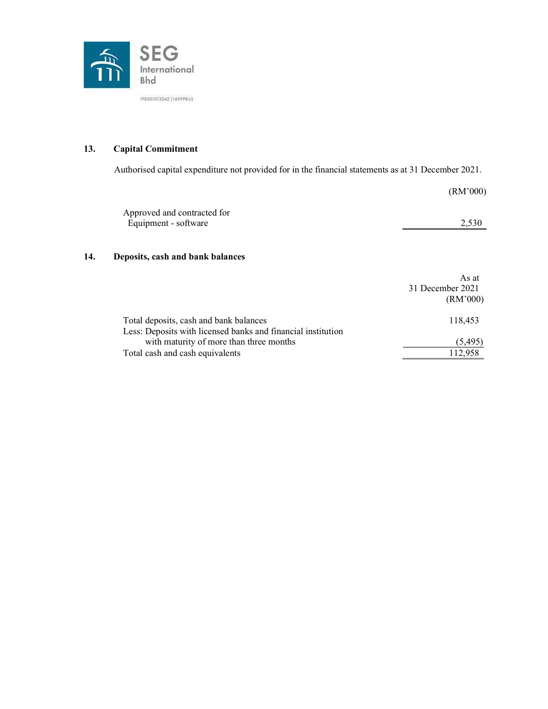

## 13. Capital Commitment

Authorised capital expenditure not provided for in the financial statements as at 31 December 2021.

|     |                                                     | (RM'000)                  |
|-----|-----------------------------------------------------|---------------------------|
|     | Approved and contracted for<br>Equipment - software | 2,530                     |
| 14. | Deposits, cash and bank balances                    |                           |
|     |                                                     | As at<br>31 December 2021 |

|                                                              | (RM'000) |
|--------------------------------------------------------------|----------|
| Total deposits, cash and bank balances                       | 118,453  |
| Less: Deposits with licensed banks and financial institution |          |
| with maturity of more than three months                      | (5,495)  |
| Total cash and cash equivalents                              | 112.958  |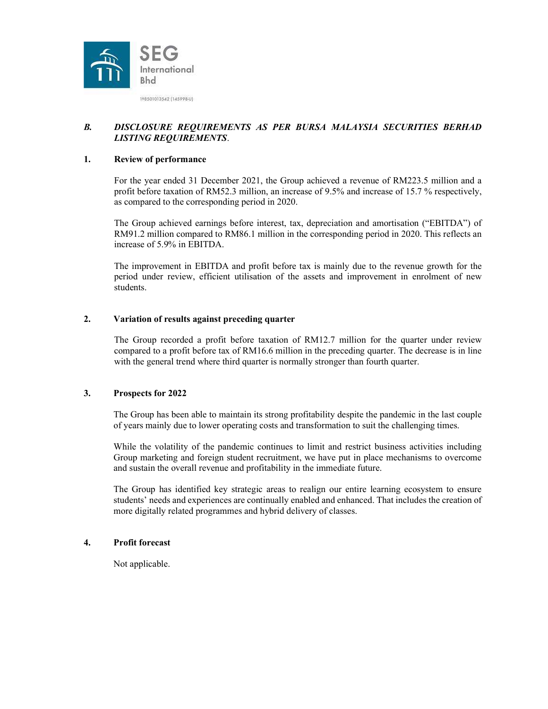

## B. DISCLOSURE REQUIREMENTS AS PER BURSA MALAYSIA SECURITIES BERHAD LISTING REQUIREMENTS.

#### 1. Review of performance

For the year ended 31 December 2021, the Group achieved a revenue of RM223.5 million and a profit before taxation of RM52.3 million, an increase of 9.5% and increase of 15.7 % respectively, as compared to the corresponding period in 2020.

The Group achieved earnings before interest, tax, depreciation and amortisation ("EBITDA") of RM91.2 million compared to RM86.1 million in the corresponding period in 2020. This reflects an increase of 5.9% in EBITDA.

The improvement in EBITDA and profit before tax is mainly due to the revenue growth for the period under review, efficient utilisation of the assets and improvement in enrolment of new students.

#### 2. Variation of results against preceding quarter

The Group recorded a profit before taxation of RM12.7 million for the quarter under review compared to a profit before tax of RM16.6 million in the preceding quarter. The decrease is in line with the general trend where third quarter is normally stronger than fourth quarter.

#### 3. Prospects for 2022

The Group has been able to maintain its strong profitability despite the pandemic in the last couple of years mainly due to lower operating costs and transformation to suit the challenging times.

While the volatility of the pandemic continues to limit and restrict business activities including Group marketing and foreign student recruitment, we have put in place mechanisms to overcome and sustain the overall revenue and profitability in the immediate future.

The Group has identified key strategic areas to realign our entire learning ecosystem to ensure students' needs and experiences are continually enabled and enhanced. That includes the creation of more digitally related programmes and hybrid delivery of classes.

#### 4. Profit forecast

Not applicable.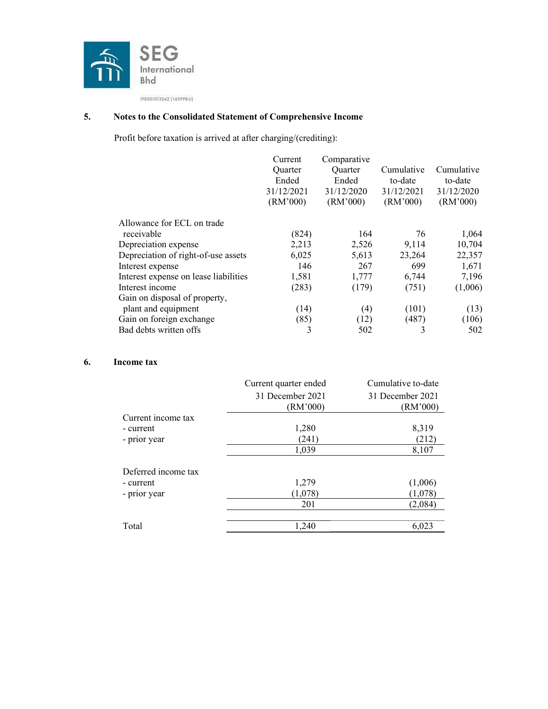

# 5. Notes to the Consolidated Statement of Comprehensive Income

Profit before taxation is arrived at after charging/(crediting):

|                                       | Current<br><b>Ouarter</b><br>Ended<br>31/12/2021<br>(RM'000) | Comparative<br>Quarter<br>Ended<br>31/12/2020<br>(RM'000) | Cumulative<br>to-date<br>31/12/2021<br>(RM'000) | Cumulative<br>to-date<br>31/12/2020<br>(RM'000) |
|---------------------------------------|--------------------------------------------------------------|-----------------------------------------------------------|-------------------------------------------------|-------------------------------------------------|
| Allowance for ECL on trade            |                                                              |                                                           |                                                 |                                                 |
| receivable                            | (824)                                                        | 164                                                       | 76                                              | 1,064                                           |
| Depreciation expense                  | 2,213                                                        | 2,526                                                     | 9,114                                           | 10,704                                          |
| Depreciation of right-of-use assets   | 6,025                                                        | 5,613                                                     | 23,264                                          | 22,357                                          |
| Interest expense                      | 146                                                          | 267                                                       | 699                                             | 1,671                                           |
| Interest expense on lease liabilities | 1,581                                                        | 1,777                                                     | 6,744                                           | 7,196                                           |
| Interest income                       | (283)                                                        | (179)                                                     | (751)                                           | (1,006)                                         |
| Gain on disposal of property,         |                                                              |                                                           |                                                 |                                                 |
| plant and equipment                   | (14)                                                         | (4)                                                       | (101)                                           | (13)                                            |
| Gain on foreign exchange              | (85)                                                         | (12)                                                      | (487)                                           | (106)                                           |
| Bad debts written offs                | 3                                                            | 502                                                       | 3                                               | 502                                             |

## 6. Income tax

|                     | Current quarter ended | Cumulative to-date |
|---------------------|-----------------------|--------------------|
|                     | 31 December 2021      | 31 December 2021   |
|                     | (RM'000)              | (RM'000)           |
| Current income tax  |                       |                    |
| - current           | 1,280                 | 8,319              |
| - prior year        | (241)                 | (212)              |
|                     | 1,039                 | 8,107              |
| Deferred income tax |                       |                    |
| - current           | 1,279                 | (1,006)            |
| - prior year        | (1,078)               | (1,078)            |
|                     | 201                   | (2,084)            |
|                     |                       |                    |
| Total               | 1,240                 | 6,023              |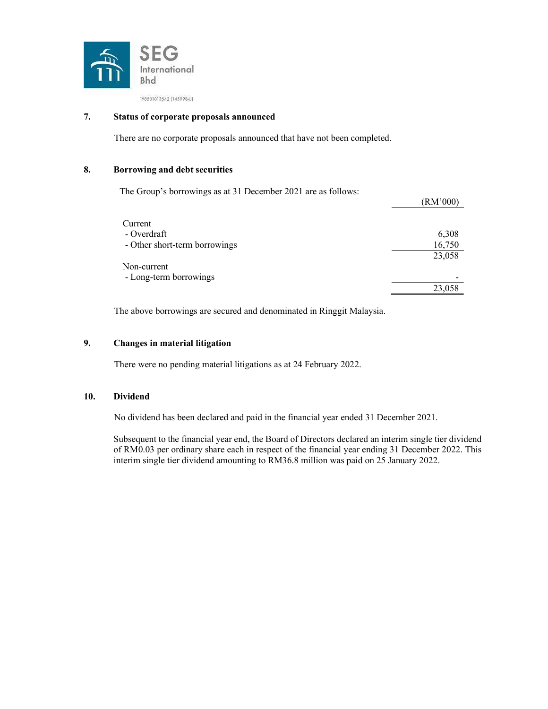

## 7. Status of corporate proposals announced

There are no corporate proposals announced that have not been completed.

### 8. Borrowing and debt securities

The Group's borrowings as at 31 December 2021 are as follows:

|                               | (RM'000) |
|-------------------------------|----------|
|                               |          |
| Current                       |          |
| - Overdraft                   | 6,308    |
| - Other short-term borrowings | 16,750   |
|                               | 23,058   |
| Non-current                   |          |
| - Long-term borrowings        |          |
|                               | 23,058   |

The above borrowings are secured and denominated in Ringgit Malaysia.

## 9. Changes in material litigation

There were no pending material litigations as at 24 February 2022.

#### 10. Dividend

No dividend has been declared and paid in the financial year ended 31 December 2021.

Subsequent to the financial year end, the Board of Directors declared an interim single tier dividend of RM0.03 per ordinary share each in respect of the financial year ending 31 December 2022. This interim single tier dividend amounting to RM36.8 million was paid on 25 January 2022.